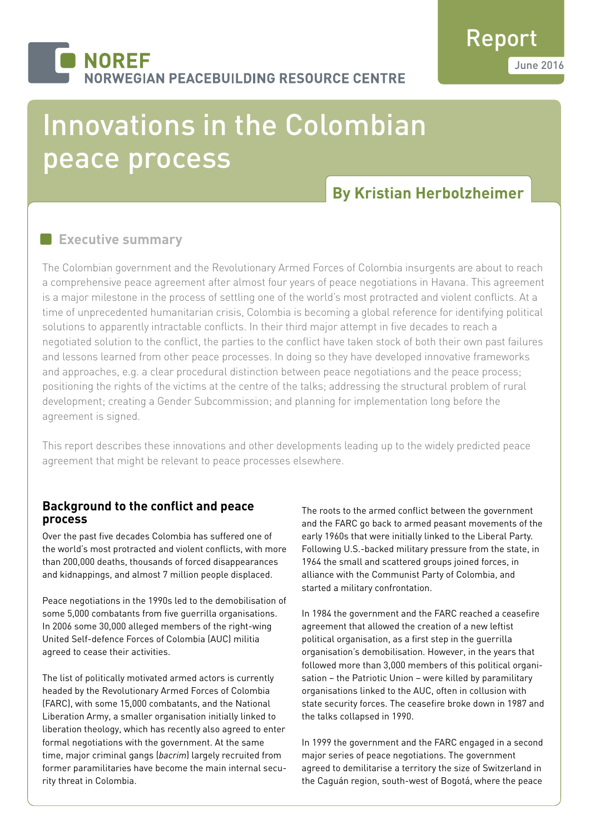# **NOREF JORWEGIAN PEACEBUILDING RESOURCE CENTRE**

# Innovations in the Colombian peace process

# **By Kristian Herbolzheimer**

# **Executive summary**

The Colombian government and the Revolutionary Armed Forces of Colombia insurgents are about to reach a comprehensive peace agreement after almost four years of peace negotiations in Havana. This agreement is a major milestone in the process of settling one of the world's most protracted and violent conflicts. At a time of unprecedented humanitarian crisis, Colombia is becoming a global reference for identifying political solutions to apparently intractable conflicts. In their third major attempt in five decades to reach a negotiated solution to the conflict, the parties to the conflict have taken stock of both their own past failures and lessons learned from other peace processes. In doing so they have developed innovative frameworks and approaches, e.g. a clear procedural distinction between peace negotiations and the peace process; positioning the rights of the victims at the centre of the talks; addressing the structural problem of rural development; creating a Gender Subcommission; and planning for implementation long before the agreement is signed.

This report describes these innovations and other developments leading up to the widely predicted peace agreement that might be relevant to peace processes elsewhere.

## **Background to the conflict and peace process**

Over the past five decades Colombia has suffered one of the world's most protracted and violent conflicts, with more than 200,000 deaths, thousands of forced disappearances and kidnappings, and almost 7 million people displaced.

Peace negotiations in the 1990s led to the demobilisation of some 5,000 combatants from five guerrilla organisations. In 2006 some 30,000 alleged members of the right-wing United Self-defence Forces of Colombia (AUC) militia agreed to cease their activities.

The list of politically motivated armed actors is currently headed by the Revolutionary Armed Forces of Colombia (FARC), with some 15,000 combatants, and the National Liberation Army, a smaller organisation initially linked to liberation theology, which has recently also agreed to enter formal negotiations with the government. At the same time, major criminal gangs (*bacrim*) largely recruited from former paramilitaries have become the main internal security threat in Colombia.

The roots to the armed conflict between the government and the FARC go back to armed peasant movements of the early 1960s that were initially linked to the Liberal Party. Following U.S.-backed military pressure from the state, in 1964 the small and scattered groups joined forces, in alliance with the Communist Party of Colombia, and started a military confrontation.

In 1984 the government and the FARC reached a ceasefire agreement that allowed the creation of a new leftist political organisation, as a first step in the guerrilla organisation's demobilisation. However, in the years that followed more than 3,000 members of this political organisation – the Patriotic Union – were killed by paramilitary organisations linked to the AUC, often in collusion with state security forces. The ceasefire broke down in 1987 and the talks collapsed in 1990.

In 1999 the government and the FARC engaged in a second major series of peace negotiations. The government agreed to demilitarise a territory the size of Switzerland in the Caguán region, south-west of Bogotá, where the peace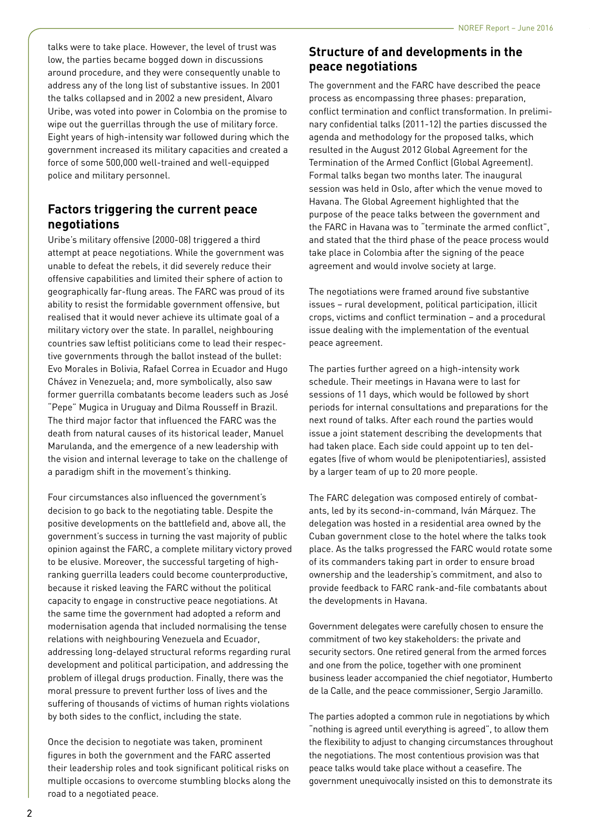talks were to take place. However, the level of trust was low, the parties became bogged down in discussions around procedure, and they were consequently unable to address any of the long list of substantive issues. In 2001 the talks collapsed and in 2002 a new president, Alvaro Uribe, was voted into power in Colombia on the promise to wipe out the guerrillas through the use of military force. Eight years of high-intensity war followed during which the government increased its military capacities and created a force of some 500,000 well-trained and well-equipped police and military personnel.

# **Factors triggering the current peace negotiations**

Uribe's military offensive (2000-08) triggered a third attempt at peace negotiations. While the government was unable to defeat the rebels, it did severely reduce their offensive capabilities and limited their sphere of action to geographically far-flung areas. The FARC was proud of its ability to resist the formidable government offensive, but realised that it would never achieve its ultimate goal of a military victory over the state. In parallel, neighbouring countries saw leftist politicians come to lead their respective governments through the ballot instead of the bullet: Evo Morales in Bolivia, Rafael Correa in Ecuador and Hugo Chávez in Venezuela; and, more symbolically, also saw former guerrilla combatants become leaders such as José "Pepe" Mugica in Uruguay and Dilma Rousseff in Brazil. The third major factor that influenced the FARC was the death from natural causes of its historical leader, Manuel Marulanda, and the emergence of a new leadership with the vision and internal leverage to take on the challenge of a paradigm shift in the movement's thinking.

Four circumstances also influenced the government's decision to go back to the negotiating table. Despite the positive developments on the battlefield and, above all, the government's success in turning the vast majority of public opinion against the FARC, a complete military victory proved to be elusive. Moreover, the successful targeting of highranking guerrilla leaders could become counterproductive, because it risked leaving the FARC without the political capacity to engage in constructive peace negotiations. At the same time the government had adopted a reform and modernisation agenda that included normalising the tense relations with neighbouring Venezuela and Ecuador, addressing long-delayed structural reforms regarding rural development and political participation, and addressing the problem of illegal drugs production. Finally, there was the moral pressure to prevent further loss of lives and the suffering of thousands of victims of human rights violations by both sides to the conflict, including the state.

Once the decision to negotiate was taken, prominent figures in both the government and the FARC asserted their leadership roles and took significant political risks on multiple occasions to overcome stumbling blocks along the road to a negotiated peace.

# **Structure of and developments in the peace negotiations**

The government and the FARC have described the peace process as encompassing three phases: preparation, conflict termination and conflict transformation. In preliminary confidential talks (2011-12) the parties discussed the agenda and methodology for the proposed talks, which resulted in the August 2012 Global Agreement for the Termination of the Armed Conflict (Global Agreement). Formal talks began two months later. The inaugural session was held in Oslo, after which the venue moved to Havana. The Global Agreement highlighted that the purpose of the peace talks between the government and the FARC in Havana was to "terminate the armed conflict", and stated that the third phase of the peace process would take place in Colombia after the signing of the peace agreement and would involve society at large.

The negotiations were framed around five substantive issues – rural development, political participation, illicit crops, victims and conflict termination – and a procedural issue dealing with the implementation of the eventual peace agreement.

The parties further agreed on a high-intensity work schedule. Their meetings in Havana were to last for sessions of 11 days, which would be followed by short periods for internal consultations and preparations for the next round of talks. After each round the parties would issue a joint statement describing the developments that had taken place. Each side could appoint up to ten delegates (five of whom would be plenipotentiaries), assisted by a larger team of up to 20 more people.

The FARC delegation was composed entirely of combatants, led by its second-in-command, Iván Márquez. The delegation was hosted in a residential area owned by the Cuban government close to the hotel where the talks took place. As the talks progressed the FARC would rotate some of its commanders taking part in order to ensure broad ownership and the leadership's commitment, and also to provide feedback to FARC rank-and-file combatants about the developments in Havana.

Government delegates were carefully chosen to ensure the commitment of two key stakeholders: the private and security sectors. One retired general from the armed forces and one from the police, together with one prominent business leader accompanied the chief negotiator, Humberto de la Calle, and the peace commissioner, Sergio Jaramillo.

The parties adopted a common rule in negotiations by which "nothing is agreed until everything is agreed", to allow them the flexibility to adjust to changing circumstances throughout the negotiations. The most contentious provision was that peace talks would take place without a ceasefire. The government unequivocally insisted on this to demonstrate its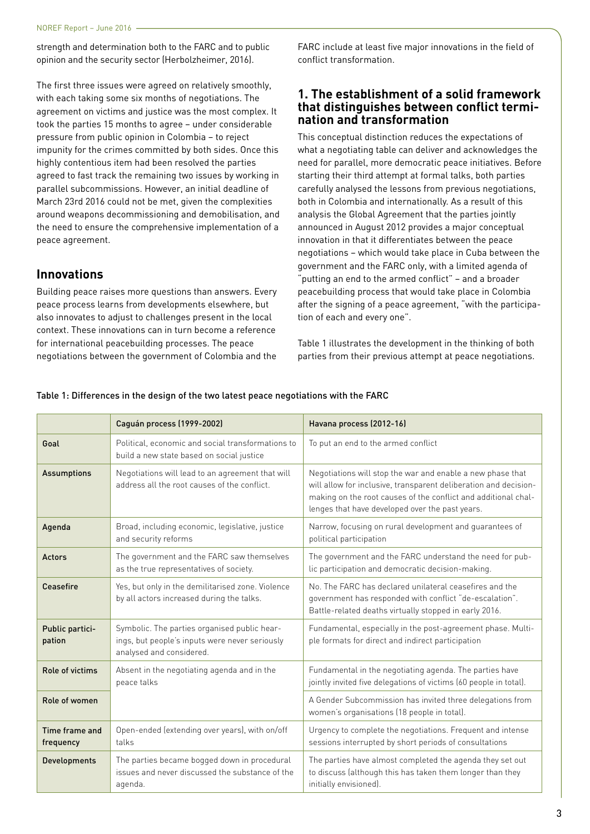strength and determination both to the FARC and to public opinion and the security sector (Herbolzheimer, 2016).

The first three issues were agreed on relatively smoothly, with each taking some six months of negotiations. The agreement on victims and justice was the most complex. It took the parties 15 months to agree – under considerable pressure from public opinion in Colombia – to reject impunity for the crimes committed by both sides. Once this highly contentious item had been resolved the parties agreed to fast track the remaining two issues by working in parallel subcommissions. However, an initial deadline of March 23rd 2016 could not be met, given the complexities around weapons decommissioning and demobilisation, and the need to ensure the comprehensive implementation of a peace agreement.

#### **Innovations**

Building peace raises more questions than answers. Every peace process learns from developments elsewhere, but also innovates to adjust to challenges present in the local context. These innovations can in turn become a reference for international peacebuilding processes. The peace negotiations between the government of Colombia and the

FARC include at least five major innovations in the field of conflict transformation.

## **1. The establishment of a solid framework that distinguishes between conflict termination and transformation**

This conceptual distinction reduces the expectations of what a negotiating table can deliver and acknowledges the need for parallel, more democratic peace initiatives. Before starting their third attempt at formal talks, both parties carefully analysed the lessons from previous negotiations, both in Colombia and internationally. As a result of this analysis the Global Agreement that the parties jointly announced in August 2012 provides a major conceptual innovation in that it differentiates between the peace negotiations – which would take place in Cuba between the government and the FARC only, with a limited agenda of "putting an end to the armed conflict" – and a broader peacebuilding process that would take place in Colombia after the signing of a peace agreement, "with the participation of each and every one".

Table 1 illustrates the development in the thinking of both parties from their previous attempt at peace negotiations.

|                             | Caguán process (1999-2002)                                                                                                 | Havana process (2012-16)                                                                                                                                                                                                                            |
|-----------------------------|----------------------------------------------------------------------------------------------------------------------------|-----------------------------------------------------------------------------------------------------------------------------------------------------------------------------------------------------------------------------------------------------|
| Goal                        | Political, economic and social transformations to<br>build a new state based on social justice                             | To put an end to the armed conflict                                                                                                                                                                                                                 |
| <b>Assumptions</b>          | Negotiations will lead to an agreement that will<br>address all the root causes of the conflict.                           | Negotiations will stop the war and enable a new phase that<br>will allow for inclusive, transparent deliberation and decision-<br>making on the root causes of the conflict and additional chal-<br>lenges that have developed over the past years. |
| Agenda                      | Broad, including economic, legislative, justice<br>and security reforms                                                    | Narrow, focusing on rural development and guarantees of<br>political participation                                                                                                                                                                  |
| <b>Actors</b>               | The government and the FARC saw themselves<br>as the true representatives of society.                                      | The government and the FARC understand the need for pub-<br>lic participation and democratic decision-making.                                                                                                                                       |
| Ceasefire                   | Yes, but only in the demilitarised zone. Violence<br>by all actors increased during the talks.                             | No. The FARC has declared unilateral ceasefires and the<br>government has responded with conflict "de-escalation".<br>Battle-related deaths virtually stopped in early 2016.                                                                        |
| Public partici-<br>pation   | Symbolic. The parties organised public hear-<br>ings, but people's inputs were never seriously<br>analysed and considered. | Fundamental, especially in the post-agreement phase. Multi-<br>ple formats for direct and indirect participation                                                                                                                                    |
| Role of victims             | Absent in the negotiating agenda and in the<br>peace talks                                                                 | Fundamental in the negotiating agenda. The parties have<br>jointly invited five delegations of victims (60 people in total).                                                                                                                        |
| Role of women               |                                                                                                                            | A Gender Subcommission has invited three delegations from<br>women's organisations (18 people in total).                                                                                                                                            |
| Time frame and<br>frequency | Open-ended (extending over years), with on/off<br>talks                                                                    | Urgency to complete the negotiations. Frequent and intense<br>sessions interrupted by short periods of consultations                                                                                                                                |
| Developments                | The parties became bogged down in procedural<br>issues and never discussed the substance of the<br>agenda.                 | The parties have almost completed the agenda they set out<br>to discuss (although this has taken them longer than they<br>initially envisioned).                                                                                                    |

#### Table 1: Differences in the design of the two latest peace negotiations with the FARC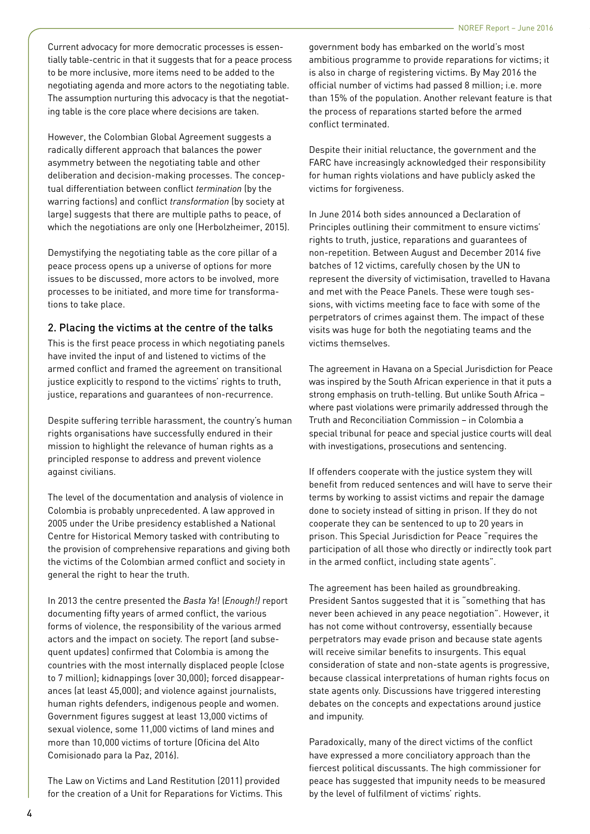Current advocacy for more democratic processes is essentially table-centric in that it suggests that for a peace process to be more inclusive, more items need to be added to the negotiating agenda and more actors to the negotiating table. The assumption nurturing this advocacy is that the negotiating table is the core place where decisions are taken.

However, the Colombian Global Agreement suggests a radically different approach that balances the power asymmetry between the negotiating table and other deliberation and decision-making processes. The conceptual differentiation between conflict *termination* (by the warring factions) and conflict *transformation* (by society at large) suggests that there are multiple paths to peace, of which the negotiations are only one (Herbolzheimer, 2015).

Demystifying the negotiating table as the core pillar of a peace process opens up a universe of options for more issues to be discussed, more actors to be involved, more processes to be initiated, and more time for transformations to take place.

#### 2. Placing the victims at the centre of the talks

This is the first peace process in which negotiating panels have invited the input of and listened to victims of the armed conflict and framed the agreement on transitional justice explicitly to respond to the victims' rights to truth, justice, reparations and guarantees of non-recurrence.

Despite suffering terrible harassment, the country's human rights organisations have successfully endured in their mission to highlight the relevance of human rights as a principled response to address and prevent violence against civilians.

The level of the documentation and analysis of violence in Colombia is probably unprecedented. A law approved in 2005 under the Uribe presidency established a National Centre for Historical Memory tasked with contributing to the provision of comprehensive reparations and giving both the victims of the Colombian armed conflict and society in general the right to hear the truth.

In 2013 the centre presented the *Basta Ya*! (*Enough!)* report documenting fifty years of armed conflict, the various forms of violence, the responsibility of the various armed actors and the impact on society. The report (and subsequent updates) confirmed that Colombia is among the countries with the most internally displaced people (close to 7 million); kidnappings (over 30,000); forced disappearances (at least 45,000); and violence against journalists, human rights defenders, indigenous people and women. Government figures suggest at least 13,000 victims of sexual violence, some 11,000 victims of land mines and more than 10,000 victims of torture (Oficina del Alto Comisionado para la Paz, 2016).

The Law on Victims and Land Restitution (2011) provided for the creation of a Unit for Reparations for Victims. This government body has embarked on the world's most ambitious programme to provide reparations for victims; it is also in charge of registering victims. By May 2016 the official number of victims had passed 8 million; i.e. more than 15% of the population. Another relevant feature is that the process of reparations started before the armed conflict terminated.

Despite their initial reluctance, the government and the FARC have increasingly acknowledged their responsibility for human rights violations and have publicly asked the victims for forgiveness.

In June 2014 both sides announced a Declaration of Principles outlining their commitment to ensure victims' rights to truth, justice, reparations and guarantees of non-repetition. Between August and December 2014 five batches of 12 victims, carefully chosen by the UN to represent the diversity of victimisation, travelled to Havana and met with the Peace Panels. These were tough sessions, with victims meeting face to face with some of the perpetrators of crimes against them. The impact of these visits was huge for both the negotiating teams and the victims themselves.

The agreement in Havana on a Special Jurisdiction for Peace was inspired by the South African experience in that it puts a strong emphasis on truth-telling. But unlike South Africa – where past violations were primarily addressed through the Truth and Reconciliation Commission – in Colombia a special tribunal for peace and special justice courts will deal with investigations, prosecutions and sentencing.

If offenders cooperate with the justice system they will benefit from reduced sentences and will have to serve their terms by working to assist victims and repair the damage done to society instead of sitting in prison. If they do not cooperate they can be sentenced to up to 20 years in prison. This Special Jurisdiction for Peace "requires the participation of all those who directly or indirectly took part in the armed conflict, including state agents".

The agreement has been hailed as groundbreaking. President Santos suggested that it is "something that has never been achieved in any peace negotiation". However, it has not come without controversy, essentially because perpetrators may evade prison and because state agents will receive similar benefits to insurgents. This equal consideration of state and non-state agents is progressive, because classical interpretations of human rights focus on state agents only. Discussions have triggered interesting debates on the concepts and expectations around justice and impunity.

Paradoxically, many of the direct victims of the conflict have expressed a more conciliatory approach than the fiercest political discussants. The high commissioner for peace has suggested that impunity needs to be measured by the level of fulfilment of victims' rights.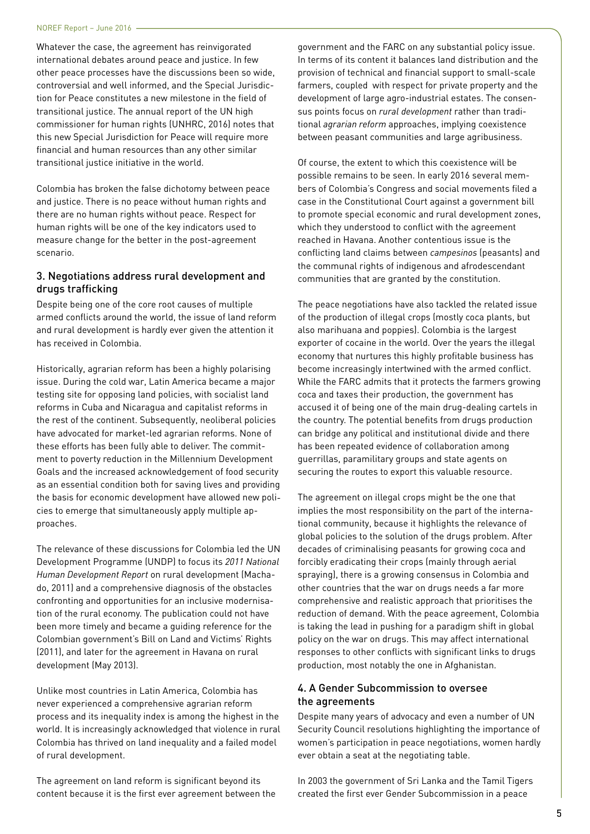Whatever the case, the agreement has reinvigorated international debates around peace and justice. In few other peace processes have the discussions been so wide, controversial and well informed, and the Special Jurisdiction for Peace constitutes a new milestone in the field of transitional justice. The annual report of the UN high commissioner for human rights (UNHRC, 2016) notes that this new Special Jurisdiction for Peace will require more financial and human resources than any other similar transitional justice initiative in the world.

Colombia has broken the false dichotomy between peace and justice. There is no peace without human rights and there are no human rights without peace. Respect for human rights will be one of the key indicators used to measure change for the better in the post-agreement scenario.

#### 3. Negotiations address rural development and drugs trafficking

Despite being one of the core root causes of multiple armed conflicts around the world, the issue of land reform and rural development is hardly ever given the attention it has received in Colombia.

Historically, agrarian reform has been a highly polarising issue. During the cold war, Latin America became a major testing site for opposing land policies, with socialist land reforms in Cuba and Nicaragua and capitalist reforms in the rest of the continent. Subsequently, neoliberal policies have advocated for market-led agrarian reforms. None of these efforts has been fully able to deliver. The commitment to poverty reduction in the Millennium Development Goals and the increased acknowledgement of food security as an essential condition both for saving lives and providing the basis for economic development have allowed new policies to emerge that simultaneously apply multiple approaches.

The relevance of these discussions for Colombia led the UN Development Programme (UNDP) to focus its *2011 National Human Development Report* on rural development (Machado, 2011) and a comprehensive diagnosis of the obstacles confronting and opportunities for an inclusive modernisation of the rural economy. The publication could not have been more timely and became a guiding reference for the Colombian government's Bill on Land and Victims' Rights (2011), and later for the agreement in Havana on rural development (May 2013).

Unlike most countries in Latin America, Colombia has never experienced a comprehensive agrarian reform process and its inequality index is among the highest in the world. It is increasingly acknowledged that violence in rural Colombia has thrived on land inequality and a failed model of rural development.

The agreement on land reform is significant beyond its content because it is the first ever agreement between the

government and the FARC on any substantial policy issue. In terms of its content it balances land distribution and the provision of technical and financial support to small-scale farmers, coupled with respect for private property and the development of large agro-industrial estates. The consensus points focus on *rural development* rather than traditional *agrarian reform* approaches, implying coexistence between peasant communities and large agribusiness.

Of course, the extent to which this coexistence will be possible remains to be seen. In early 2016 several members of Colombia's Congress and social movements filed a case in the Constitutional Court against a government bill to promote special economic and rural development zones, which they understood to conflict with the agreement reached in Havana. Another contentious issue is the conflicting land claims between *campesinos* (peasants) and the communal rights of indigenous and afrodescendant communities that are granted by the constitution.

The peace negotiations have also tackled the related issue of the production of illegal crops (mostly coca plants, but also marihuana and poppies). Colombia is the largest exporter of cocaine in the world. Over the years the illegal economy that nurtures this highly profitable business has become increasingly intertwined with the armed conflict. While the FARC admits that it protects the farmers growing coca and taxes their production, the government has accused it of being one of the main drug-dealing cartels in the country. The potential benefits from drugs production can bridge any political and institutional divide and there has been repeated evidence of collaboration among guerrillas, paramilitary groups and state agents on securing the routes to export this valuable resource.

The agreement on illegal crops might be the one that implies the most responsibility on the part of the international community, because it highlights the relevance of global policies to the solution of the drugs problem. After decades of criminalising peasants for growing coca and forcibly eradicating their crops (mainly through aerial spraying), there is a growing consensus in Colombia and other countries that the war on drugs needs a far more comprehensive and realistic approach that prioritises the reduction of demand. With the peace agreement, Colombia is taking the lead in pushing for a paradigm shift in global policy on the war on drugs. This may affect international responses to other conflicts with significant links to drugs production, most notably the one in Afghanistan.

#### 4. A Gender Subcommission to oversee the agreements

Despite many years of advocacy and even a number of UN Security Council resolutions highlighting the importance of women's participation in peace negotiations, women hardly ever obtain a seat at the negotiating table.

In 2003 the government of Sri Lanka and the Tamil Tigers created the first ever Gender Subcommission in a peace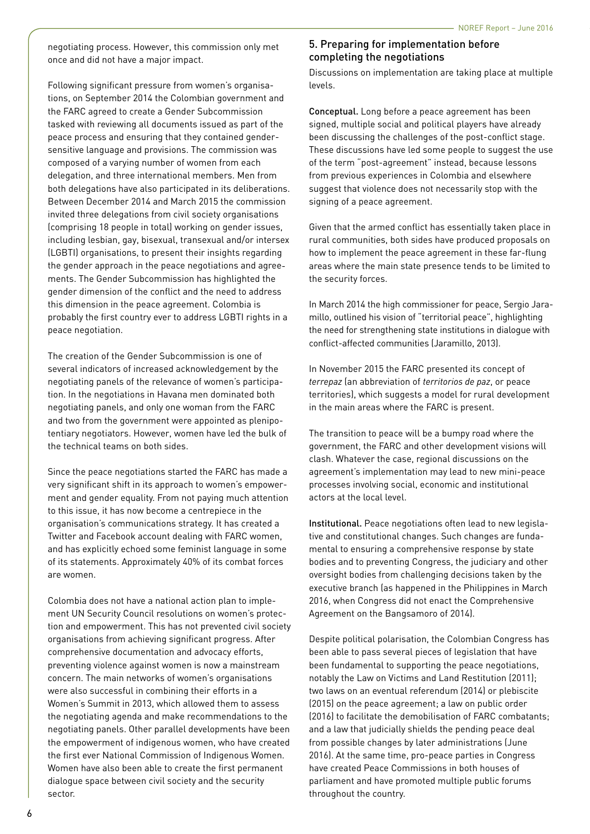negotiating process. However, this commission only met once and did not have a major impact.

Following significant pressure from women's organisations, on September 2014 the Colombian government and the FARC agreed to create a Gender Subcommission tasked with reviewing all documents issued as part of the peace process and ensuring that they contained gendersensitive language and provisions. The commission was composed of a varying number of women from each delegation, and three international members. Men from both delegations have also participated in its deliberations. Between December 2014 and March 2015 the commission invited three delegations from civil society organisations (comprising 18 people in total) working on gender issues, including lesbian, gay, bisexual, transexual and/or intersex (LGBTI) organisations, to present their insights regarding the gender approach in the peace negotiations and agreements. The Gender Subcommission has highlighted the gender dimension of the conflict and the need to address this dimension in the peace agreement. Colombia is probably the first country ever to address LGBTI rights in a peace negotiation.

The creation of the Gender Subcommission is one of several indicators of increased acknowledgement by the negotiating panels of the relevance of women's participation. In the negotiations in Havana men dominated both negotiating panels, and only one woman from the FARC and two from the government were appointed as plenipotentiary negotiators. However, women have led the bulk of the technical teams on both sides.

Since the peace negotiations started the FARC has made a very significant shift in its approach to women's empowerment and gender equality. From not paying much attention to this issue, it has now become a centrepiece in the organisation's communications strategy. It has created a Twitter and Facebook account dealing with FARC women, and has explicitly echoed some feminist language in some of its statements. Approximately 40% of its combat forces are women.

Colombia does not have a national action plan to implement UN Security Council resolutions on women's protection and empowerment. This has not prevented civil society organisations from achieving significant progress. After comprehensive documentation and advocacy efforts, preventing violence against women is now a mainstream concern. The main networks of women's organisations were also successful in combining their efforts in a Women's Summit in 2013, which allowed them to assess the negotiating agenda and make recommendations to the negotiating panels. Other parallel developments have been the empowerment of indigenous women, who have created the first ever National Commission of Indigenous Women. Women have also been able to create the first permanent dialogue space between civil society and the security sector.

#### 5. Preparing for implementation before completing the negotiations

Discussions on implementation are taking place at multiple levels.

Conceptual. Long before a peace agreement has been signed, multiple social and political players have already been discussing the challenges of the post-conflict stage. These discussions have led some people to suggest the use of the term "post-agreement" instead, because lessons from previous experiences in Colombia and elsewhere suggest that violence does not necessarily stop with the signing of a peace agreement.

Given that the armed conflict has essentially taken place in rural communities, both sides have produced proposals on how to implement the peace agreement in these far-flung areas where the main state presence tends to be limited to the security forces.

In March 2014 the high commissioner for peace, Sergio Jaramillo, outlined his vision of "territorial peace", highlighting the need for strengthening state institutions in dialogue with conflict-affected communities (Jaramillo, 2013).

In November 2015 the FARC presented its concept of *terrepaz* (an abbreviation of *territorios de paz*, or peace territories), which suggests a model for rural development in the main areas where the FARC is present.

The transition to peace will be a bumpy road where the government, the FARC and other development visions will clash. Whatever the case, regional discussions on the agreement's implementation may lead to new mini-peace processes involving social, economic and institutional actors at the local level.

Institutional. Peace negotiations often lead to new legislative and constitutional changes. Such changes are fundamental to ensuring a comprehensive response by state bodies and to preventing Congress, the judiciary and other oversight bodies from challenging decisions taken by the executive branch (as happened in the Philippines in March 2016, when Congress did not enact the Comprehensive Agreement on the Bangsamoro of 2014).

Despite political polarisation, the Colombian Congress has been able to pass several pieces of legislation that have been fundamental to supporting the peace negotiations, notably the Law on Victims and Land Restitution (2011); two laws on an eventual referendum (2014) or plebiscite (2015) on the peace agreement; a law on public order (2016) to facilitate the demobilisation of FARC combatants; and a law that judicially shields the pending peace deal from possible changes by later administrations (June 2016). At the same time, pro-peace parties in Congress have created Peace Commissions in both houses of parliament and have promoted multiple public forums throughout the country.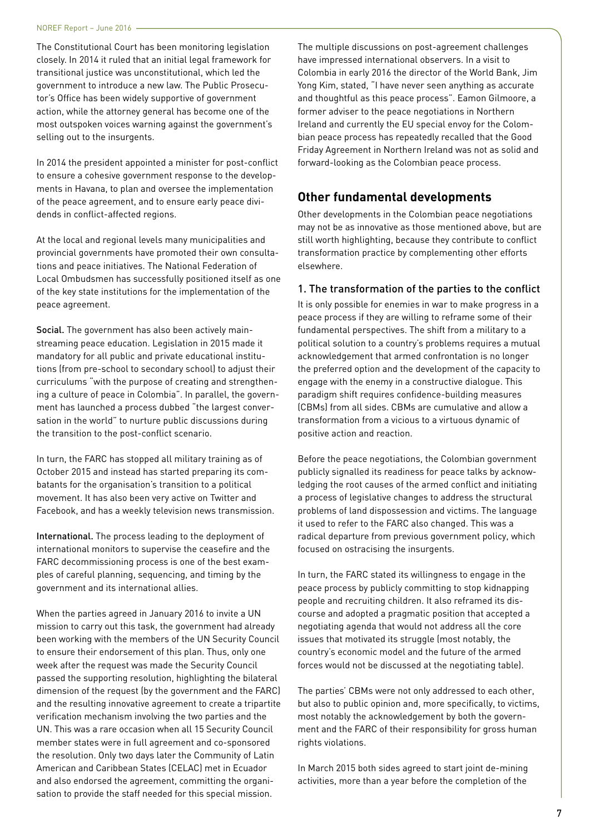The Constitutional Court has been monitoring legislation closely. In 2014 it ruled that an initial legal framework for transitional justice was unconstitutional, which led the government to introduce a new law. The Public Prosecutor's Office has been widely supportive of government action, while the attorney general has become one of the most outspoken voices warning against the government's selling out to the insurgents.

In 2014 the president appointed a minister for post-conflict to ensure a cohesive government response to the developments in Havana, to plan and oversee the implementation of the peace agreement, and to ensure early peace dividends in conflict-affected regions.

At the local and regional levels many municipalities and provincial governments have promoted their own consultations and peace initiatives. The National Federation of Local Ombudsmen has successfully positioned itself as one of the key state institutions for the implementation of the peace agreement.

Social. The government has also been actively mainstreaming peace education. Legislation in 2015 made it mandatory for all public and private educational institutions (from pre-school to secondary school) to adjust their curriculums "with the purpose of creating and strengthening a culture of peace in Colombia". In parallel, the government has launched a process dubbed "the largest conversation in the world" to nurture public discussions during the transition to the post-conflict scenario.

In turn, the FARC has stopped all military training as of October 2015 and instead has started preparing its combatants for the organisation's transition to a political movement. It has also been very active on Twitter and Facebook, and has a weekly television news transmission.

International. The process leading to the deployment of international monitors to supervise the ceasefire and the FARC decommissioning process is one of the best examples of careful planning, sequencing, and timing by the government and its international allies.

When the parties agreed in January 2016 to invite a UN mission to carry out this task, the government had already been working with the members of the UN Security Council to ensure their endorsement of this plan. Thus, only one week after the request was made the Security Council passed the supporting resolution, highlighting the bilateral dimension of the request (by the government and the FARC) and the resulting innovative agreement to create a tripartite verification mechanism involving the two parties and the UN. This was a rare occasion when all 15 Security Council member states were in full agreement and co-sponsored the resolution. Only two days later the Community of Latin American and Caribbean States (CELAC) met in Ecuador and also endorsed the agreement, committing the organisation to provide the staff needed for this special mission.

The multiple discussions on post-agreement challenges have impressed international observers. In a visit to Colombia in early 2016 the director of the World Bank, Jim Yong Kim, stated, "I have never seen anything as accurate and thoughtful as this peace process". Eamon Gilmoore, a former adviser to the peace negotiations in Northern Ireland and currently the EU special envoy for the Colombian peace process has repeatedly recalled that the Good Friday Agreement in Northern Ireland was not as solid and forward-looking as the Colombian peace process.

# **Other fundamental developments**

Other developments in the Colombian peace negotiations may not be as innovative as those mentioned above, but are still worth highlighting, because they contribute to conflict transformation practice by complementing other efforts elsewhere.

#### 1. The transformation of the parties to the conflict

It is only possible for enemies in war to make progress in a peace process if they are willing to reframe some of their fundamental perspectives. The shift from a military to a political solution to a country's problems requires a mutual acknowledgement that armed confrontation is no longer the preferred option and the development of the capacity to engage with the enemy in a constructive dialogue. This paradigm shift requires confidence-building measures (CBMs) from all sides. CBMs are cumulative and allow a transformation from a vicious to a virtuous dynamic of positive action and reaction.

Before the peace negotiations, the Colombian government publicly signalled its readiness for peace talks by acknowledging the root causes of the armed conflict and initiating a process of legislative changes to address the structural problems of land dispossession and victims. The language it used to refer to the FARC also changed. This was a radical departure from previous government policy, which focused on ostracising the insurgents.

In turn, the FARC stated its willingness to engage in the peace process by publicly committing to stop kidnapping people and recruiting children. It also reframed its discourse and adopted a pragmatic position that accepted a negotiating agenda that would not address all the core issues that motivated its struggle (most notably, the country's economic model and the future of the armed forces would not be discussed at the negotiating table).

The parties' CBMs were not only addressed to each other, but also to public opinion and, more specifically, to victims, most notably the acknowledgement by both the government and the FARC of their responsibility for gross human rights violations.

In March 2015 both sides agreed to start joint de-mining activities, more than a year before the completion of the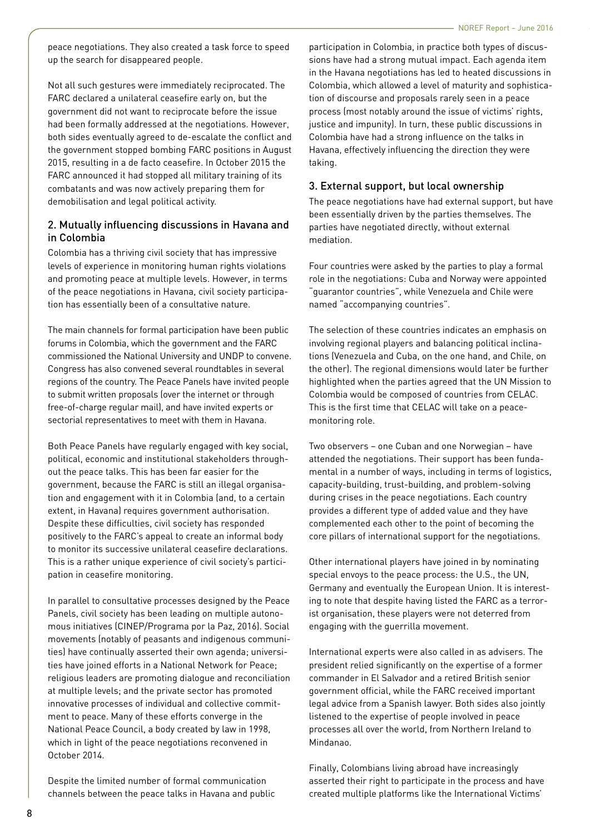peace negotiations. They also created a task force to speed up the search for disappeared people.

Not all such gestures were immediately reciprocated. The FARC declared a unilateral ceasefire early on, but the government did not want to reciprocate before the issue had been formally addressed at the negotiations. However, both sides eventually agreed to de-escalate the conflict and the government stopped bombing FARC positions in August 2015, resulting in a de facto ceasefire. In October 2015 the FARC announced it had stopped all military training of its combatants and was now actively preparing them for demobilisation and legal political activity.

#### 2. Mutually influencing discussions in Havana and in Colombia

Colombia has a thriving civil society that has impressive levels of experience in monitoring human rights violations and promoting peace at multiple levels. However, in terms of the peace negotiations in Havana, civil society participation has essentially been of a consultative nature.

The main channels for formal participation have been public forums in Colombia, which the government and the FARC commissioned the National University and UNDP to convene. Congress has also convened several roundtables in several regions of the country. The Peace Panels have invited people to submit written proposals (over the internet or through free-of-charge regular mail), and have invited experts or sectorial representatives to meet with them in Havana.

Both Peace Panels have regularly engaged with key social, political, economic and institutional stakeholders throughout the peace talks. This has been far easier for the government, because the FARC is still an illegal organisation and engagement with it in Colombia (and, to a certain extent, in Havana) requires government authorisation. Despite these difficulties, civil society has responded positively to the FARC's appeal to create an informal body to monitor its successive unilateral ceasefire declarations. This is a rather unique experience of civil society's participation in ceasefire monitoring.

In parallel to consultative processes designed by the Peace Panels, civil society has been leading on multiple autonomous initiatives (CINEP/Programa por la Paz, 2016). Social movements (notably of peasants and indigenous communities) have continually asserted their own agenda; universities have joined efforts in a National Network for Peace; religious leaders are promoting dialogue and reconciliation at multiple levels; and the private sector has promoted innovative processes of individual and collective commitment to peace. Many of these efforts converge in the National Peace Council, a body created by law in 1998, which in light of the peace negotiations reconvened in October 2014.

Despite the limited number of formal communication channels between the peace talks in Havana and public participation in Colombia, in practice both types of discussions have had a strong mutual impact. Each agenda item in the Havana negotiations has led to heated discussions in Colombia, which allowed a level of maturity and sophistication of discourse and proposals rarely seen in a peace process (most notably around the issue of victims' rights, justice and impunity). In turn, these public discussions in Colombia have had a strong influence on the talks in Havana, effectively influencing the direction they were taking.

#### 3. External support, but local ownership

The peace negotiations have had external support, but have been essentially driven by the parties themselves. The parties have negotiated directly, without external mediation.

Four countries were asked by the parties to play a formal role in the negotiations: Cuba and Norway were appointed "guarantor countries", while Venezuela and Chile were named "accompanying countries".

The selection of these countries indicates an emphasis on involving regional players and balancing political inclinations (Venezuela and Cuba, on the one hand, and Chile, on the other). The regional dimensions would later be further highlighted when the parties agreed that the UN Mission to Colombia would be composed of countries from CELAC. This is the first time that CELAC will take on a peacemonitoring role.

Two observers – one Cuban and one Norwegian – have attended the negotiations. Their support has been fundamental in a number of ways, including in terms of logistics, capacity-building, trust-building, and problem-solving during crises in the peace negotiations. Each country provides a different type of added value and they have complemented each other to the point of becoming the core pillars of international support for the negotiations.

Other international players have joined in by nominating special envoys to the peace process: the U.S., the UN, Germany and eventually the European Union. It is interesting to note that despite having listed the FARC as a terrorist organisation, these players were not deterred from engaging with the guerrilla movement.

International experts were also called in as advisers. The president relied significantly on the expertise of a former commander in El Salvador and a retired British senior government official, while the FARC received important legal advice from a Spanish lawyer. Both sides also jointly listened to the expertise of people involved in peace processes all over the world, from Northern Ireland to Mindanao.

Finally, Colombians living abroad have increasingly asserted their right to participate in the process and have created multiple platforms like the International Victims'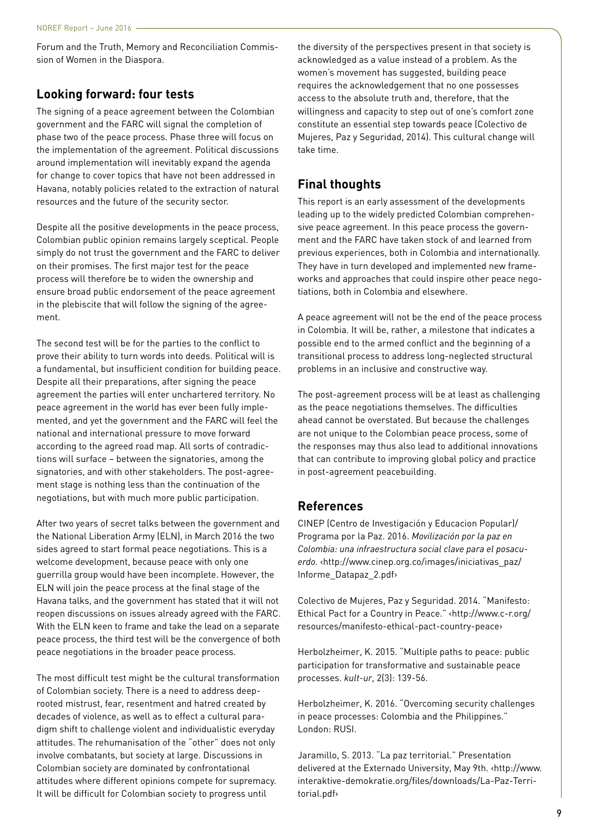Forum and the Truth, Memory and Reconciliation Commission of Women in the Diaspora.

# **Looking forward: four tests**

The signing of a peace agreement between the Colombian government and the FARC will signal the completion of phase two of the peace process. Phase three will focus on the implementation of the agreement. Political discussions around implementation will inevitably expand the agenda for change to cover topics that have not been addressed in Havana, notably policies related to the extraction of natural resources and the future of the security sector.

Despite all the positive developments in the peace process, Colombian public opinion remains largely sceptical. People simply do not trust the government and the FARC to deliver on their promises. The first major test for the peace process will therefore be to widen the ownership and ensure broad public endorsement of the peace agreement in the plebiscite that will follow the signing of the agreement.

The second test will be for the parties to the conflict to prove their ability to turn words into deeds. Political will is a fundamental, but insufficient condition for building peace. Despite all their preparations, after signing the peace agreement the parties will enter unchartered territory. No peace agreement in the world has ever been fully implemented, and yet the government and the FARC will feel the national and international pressure to move forward according to the agreed road map. All sorts of contradictions will surface – between the signatories, among the signatories, and with other stakeholders. The post-agreement stage is nothing less than the continuation of the negotiations, but with much more public participation.

After two years of secret talks between the government and the National Liberation Army (ELN), in March 2016 the two sides agreed to start formal peace negotiations. This is a welcome development, because peace with only one guerrilla group would have been incomplete. However, the ELN will join the peace process at the final stage of the Havana talks, and the government has stated that it will not reopen discussions on issues already agreed with the FARC. With the ELN keen to frame and take the lead on a separate peace process, the third test will be the convergence of both peace negotiations in the broader peace process.

The most difficult test might be the cultural transformation of Colombian society. There is a need to address deeprooted mistrust, fear, resentment and hatred created by decades of violence, as well as to effect a cultural paradigm shift to challenge violent and individualistic everyday attitudes. The rehumanisation of the "other" does not only involve combatants, but society at large. Discussions in Colombian society are dominated by confrontational attitudes where different opinions compete for supremacy. It will be difficult for Colombian society to progress until

the diversity of the perspectives present in that society is acknowledged as a value instead of a problem. As the women's movement has suggested, building peace requires the acknowledgement that no one possesses access to the absolute truth and, therefore, that the willingness and capacity to step out of one's comfort zone constitute an essential step towards peace (Colectivo de Mujeres, Paz y Seguridad, 2014). This cultural change will take time.

# **Final thoughts**

This report is an early assessment of the developments leading up to the widely predicted Colombian comprehensive peace agreement. In this peace process the government and the FARC have taken stock of and learned from previous experiences, both in Colombia and internationally. They have in turn developed and implemented new frameworks and approaches that could inspire other peace negotiations, both in Colombia and elsewhere.

A peace agreement will not be the end of the peace process in Colombia. It will be, rather, a milestone that indicates a possible end to the armed conflict and the beginning of a transitional process to address long-neglected structural problems in an inclusive and constructive way.

The post-agreement process will be at least as challenging as the peace negotiations themselves. The difficulties ahead cannot be overstated. But because the challenges are not unique to the Colombian peace process, some of the responses may thus also lead to additional innovations that can contribute to improving global policy and practice in post-agreement peacebuilding.

# **References**

CINEP (Centro de Investigación y Educacion Popular)/ Programa por la Paz. 2016. *Movilización por la paz en Colombia: una infraestructura social clave para el posacuerdo.* [‹http://www.cinep.org.co/images/iniciativas\\_paz/](http://www.cinep.org.co/images/iniciativas_paz/Informe_Datapaz_2.pdf) [Informe\\_Datapaz\\_2.pdf›](http://www.cinep.org.co/images/iniciativas_paz/Informe_Datapaz_2.pdf)

Colectivo de Mujeres, Paz y Seguridad. 2014. "Manifesto: Ethical Pact for a Country in Peace." [‹http://www.c-r.org/](http://www.c-r.org/resources/manifesto-ethical-pact-country-peace) [resources/manifesto-ethical-pact-country-peace](http://www.c-r.org/resources/manifesto-ethical-pact-country-peace)›

Herbolzheimer, K. 2015. "Multiple paths to peace: public participation for transformative and sustainable peace processes. *kult-ur*, 2(3): 139-56.

Herbolzheimer, K. 2016. "Overcoming security challenges in peace processes: Colombia and the Philippines." London: RUSI.

Jaramillo, S. 2013. "La paz territorial." Presentation delivered at the Externado University, May 9th. ‹[http://www.](http://www.interaktive-demokratie.org/files/downloads/La-Paz-Territorial.pdf) [interaktive-demokratie.org/files/downloads/La-Paz-Terri](http://www.interaktive-demokratie.org/files/downloads/La-Paz-Territorial.pdf)[torial.pdf](http://www.interaktive-demokratie.org/files/downloads/La-Paz-Territorial.pdf)›